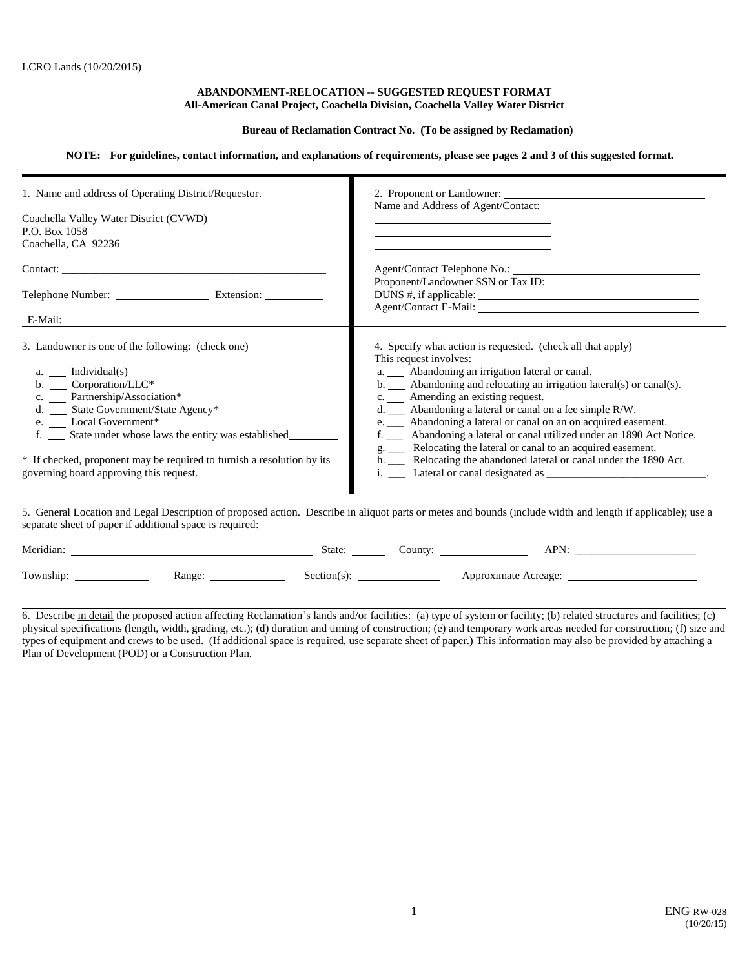#### **ABANDONMENT-RELOCATION -- SUGGESTED REQUEST FORMAT All-American Canal Project, Coachella Division, Coachella Valley Water District**

### **Bureau of Reclamation Contract No. (To be assigned by Reclamation)**

### **NOTE: For guidelines, contact information, and explanations of requirements, please see pages 2 and 3 of this suggested format.**

| 2. Proponent or Landowner:<br>Name and Address of Agent/Contact:                                                                                                                                                                                                                                                                                                                                                                                                                                                                                                                                                          |
|---------------------------------------------------------------------------------------------------------------------------------------------------------------------------------------------------------------------------------------------------------------------------------------------------------------------------------------------------------------------------------------------------------------------------------------------------------------------------------------------------------------------------------------------------------------------------------------------------------------------------|
| Proponent/Landowner SSN or Tax ID:                                                                                                                                                                                                                                                                                                                                                                                                                                                                                                                                                                                        |
| 4. Specify what action is requested. (check all that apply)<br>This request involves:<br>a. __ Abandoning an irrigation lateral or canal.<br>b. Abandoning and relocating an irrigation lateral(s) or canal(s).<br>c. ____ Amending an existing request.<br>d. $\_\_\_\$ Abandoning a lateral or canal on a fee simple R/W.<br>e. ____ Abandoning a lateral or canal on an on acquired easement.<br>f. _____ Abandoning a lateral or canal utilized under an 1890 Act Notice.<br>g. _____ Relocating the lateral or canal to an acquired easement.<br>h. __ Relocating the abandoned lateral or canal under the 1890 Act. |
| 5. General Location and Legal Description of proposed action. Describe in aliquot parts or metes and bounds (include width and length if applicable); use a                                                                                                                                                                                                                                                                                                                                                                                                                                                               |
|                                                                                                                                                                                                                                                                                                                                                                                                                                                                                                                                                                                                                           |
|                                                                                                                                                                                                                                                                                                                                                                                                                                                                                                                                                                                                                           |

6. Describe in detail the proposed action affecting Reclamation's lands and/or facilities: (a) type of system or facility; (b) related structures and facilities; (c) physical specifications (length, width, grading, etc.); (d) duration and timing of construction; (e) and temporary work areas needed for construction; (f) size and types of equipment and crews to be used. (If additional space is required, use separate sheet of paper.) This information may also be provided by attaching a Plan of Development (POD) or a Construction Plan.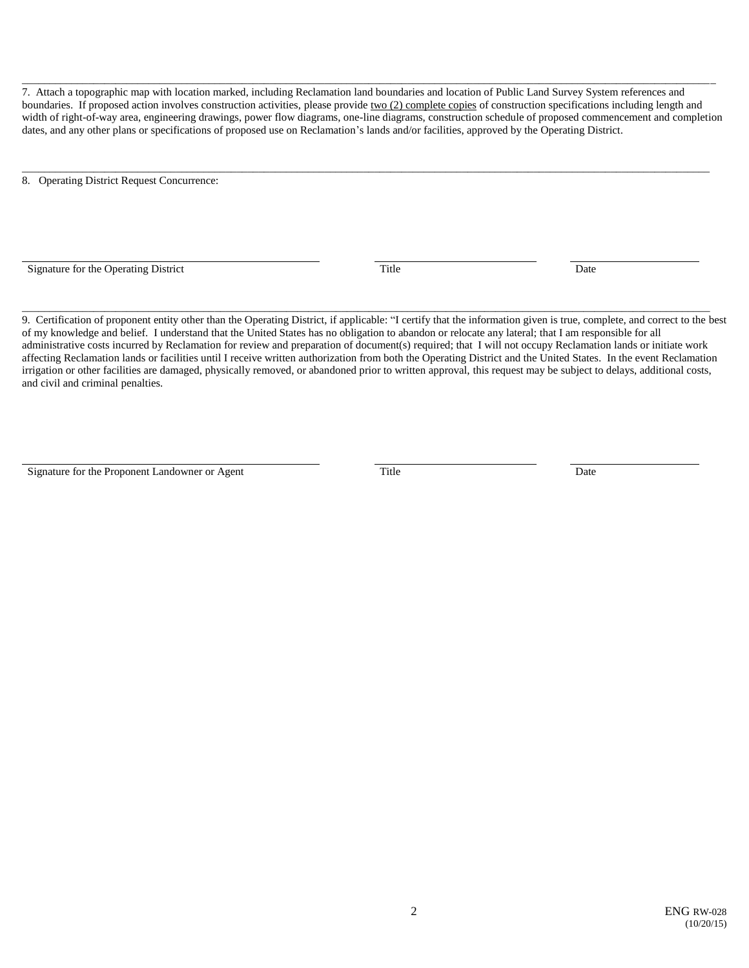7. Attach a topographic map with location marked, including Reclamation land boundaries and location of Public Land Survey System references and boundaries. If proposed action involves construction activities, please provide two (2) complete copies of construction specifications including length and width of right-of-way area, engineering drawings, power flow diagrams, one-line diagrams, construction schedule of proposed commencement and completion dates, and any other plans or specifications of proposed use on Reclamation's lands and/or facilities, approved by the Operating District.

\_\_\_\_\_\_\_\_\_\_\_\_\_\_\_\_\_\_\_\_\_\_\_\_\_\_\_\_\_\_\_\_\_\_\_\_\_\_\_\_\_\_\_\_\_\_\_\_\_\_\_\_\_\_\_\_\_\_\_\_\_\_\_\_\_\_\_\_\_\_\_\_\_\_\_\_\_\_\_\_\_\_\_\_\_\_\_\_\_\_\_\_\_\_\_\_\_\_\_\_\_\_\_\_\_\_\_\_\_\_\_\_\_\_\_\_\_\_\_\_\_\_\_\_\_

\_\_\_\_\_\_\_\_\_\_\_\_\_\_\_\_\_\_\_\_\_\_\_\_\_\_\_\_\_\_\_\_\_\_\_\_\_\_\_\_\_\_\_\_\_\_\_\_\_\_\_\_\_\_\_\_\_\_\_\_\_\_\_\_\_\_\_\_\_\_\_\_\_\_\_\_\_\_\_\_\_\_\_\_\_\_\_\_\_\_\_\_\_\_\_\_\_\_\_\_\_\_\_\_\_\_\_\_\_\_\_\_\_\_\_\_\_\_\_\_\_\_\_\_\_\_

8. Operating District Request Concurrence:

Signature for the Operating District Title Date

 $\overline{a}$ 

 $\overline{a}$ 

9. Certification of proponent entity other than the Operating District, if applicable: "I certify that the information given is true, complete, and correct to the best of my knowledge and belief. I understand that the United States has no obligation to abandon or relocate any lateral; that I am responsible for all administrative costs incurred by Reclamation for review and preparation of document(s) required; that I will not occupy Reclamation lands or initiate work affecting Reclamation lands or facilities until I receive written authorization from both the Operating District and the United States. In the event Reclamation irrigation or other facilities are damaged, physically removed, or abandoned prior to written approval, this request may be subject to delays, additional costs, and civil and criminal penalties.

\_\_\_\_\_\_\_\_\_\_\_\_\_\_\_\_\_\_\_\_\_\_\_\_\_\_\_\_\_\_\_\_\_\_\_\_\_\_\_\_\_\_\_\_\_\_\_\_\_\_\_\_\_\_\_\_\_\_\_\_\_\_\_\_\_\_\_\_\_\_\_\_\_\_\_\_\_\_\_\_\_\_\_\_\_\_\_\_\_\_\_\_\_\_\_\_\_\_\_\_\_\_\_\_\_\_\_\_\_\_\_\_\_\_\_\_\_\_\_\_\_\_\_\_\_

Signature for the Proponent Landowner or Agent Title Title Date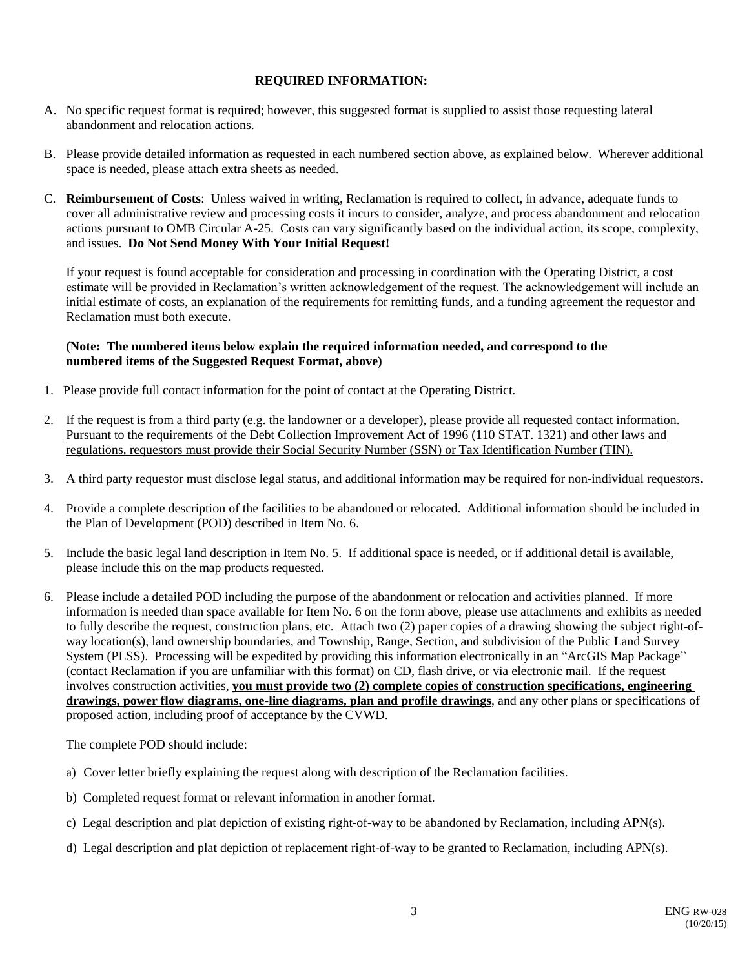# **REQUIRED INFORMATION:**

- A. No specific request format is required; however, this suggested format is supplied to assist those requesting lateral abandonment and relocation actions.
- B. Please provide detailed information as requested in each numbered section above, as explained below. Wherever additional space is needed, please attach extra sheets as needed.
- C. **Reimbursement of Costs**: Unless waived in writing, Reclamation is required to collect, in advance, adequate funds to cover all administrative review and processing costs it incurs to consider, analyze, and process abandonment and relocation actions pursuant to OMB Circular A-25. Costs can vary significantly based on the individual action, its scope, complexity, and issues. **Do Not Send Money With Your Initial Request!**

If your request is found acceptable for consideration and processing in coordination with the Operating District, a cost estimate will be provided in Reclamation's written acknowledgement of the request. The acknowledgement will include an initial estimate of costs, an explanation of the requirements for remitting funds, and a funding agreement the requestor and Reclamation must both execute.

## **(Note: The numbered items below explain the required information needed, and correspond to the numbered items of the Suggested Request Format, above)**

- 1. Please provide full contact information for the point of contact at the Operating District.
- 2. If the request is from a third party (e.g. the landowner or a developer), please provide all requested contact information. Pursuant to the requirements of the Debt Collection Improvement Act of 1996 (110 STAT. 1321) and other laws and regulations, requestors must provide their Social Security Number (SSN) or Tax Identification Number (TIN).
- 3. A third party requestor must disclose legal status, and additional information may be required for non-individual requestors.
- 4. Provide a complete description of the facilities to be abandoned or relocated. Additional information should be included in the Plan of Development (POD) described in Item No. 6.
- 5. Include the basic legal land description in Item No. 5. If additional space is needed, or if additional detail is available, please include this on the map products requested.
- 6. Please include a detailed POD including the purpose of the abandonment or relocation and activities planned. If more information is needed than space available for Item No. 6 on the form above, please use attachments and exhibits as needed to fully describe the request, construction plans, etc. Attach two (2) paper copies of a drawing showing the subject right-ofway location(s), land ownership boundaries, and Township, Range, Section, and subdivision of the Public Land Survey System (PLSS). Processing will be expedited by providing this information electronically in an "ArcGIS Map Package" (contact Reclamation if you are unfamiliar with this format) on CD, flash drive, or via electronic mail. If the request involves construction activities, **you must provide two (2) complete copies of construction specifications, engineering drawings, power flow diagrams, one-line diagrams, plan and profile drawings**, and any other plans or specifications of proposed action, including proof of acceptance by the CVWD.

The complete POD should include:

- a) Cover letter briefly explaining the request along with description of the Reclamation facilities.
- b) Completed request format or relevant information in another format.
- c) Legal description and plat depiction of existing right-of-way to be abandoned by Reclamation, including APN(s).
- d) Legal description and plat depiction of replacement right-of-way to be granted to Reclamation, including APN(s).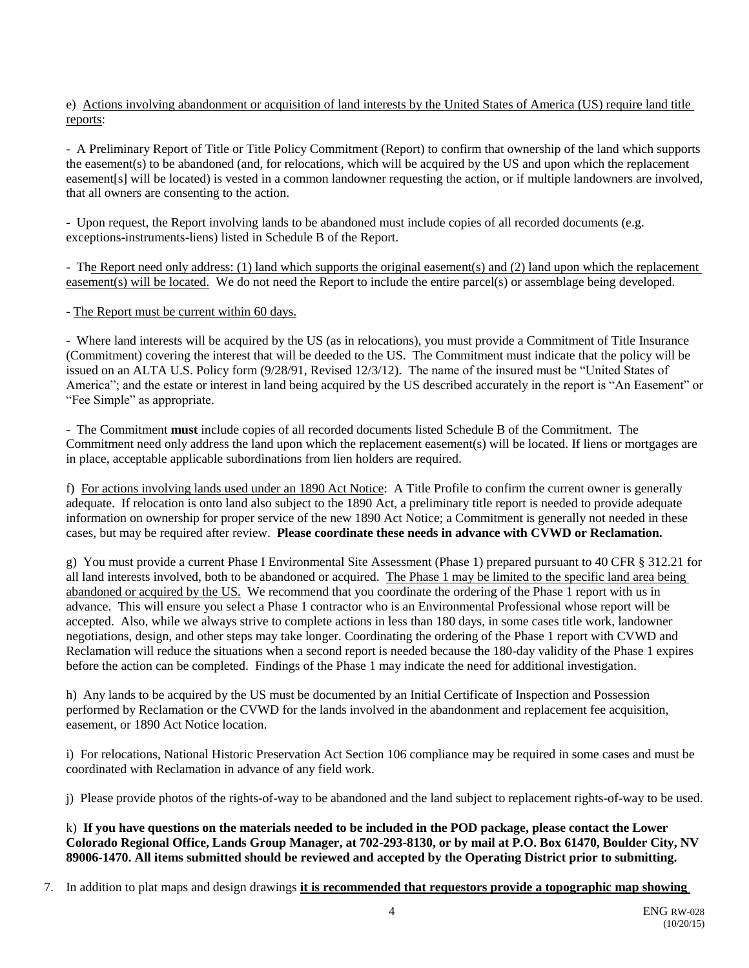e) Actions involving abandonment or acquisition of land interests by the United States of America (US) require land title reports:

- A Preliminary Report of Title or Title Policy Commitment (Report) to confirm that ownership of the land which supports the easement(s) to be abandoned (and, for relocations, which will be acquired by the US and upon which the replacement easement[s] will be located) is vested in a common landowner requesting the action, or if multiple landowners are involved, that all owners are consenting to the action.

- Upon request, the Report involving lands to be abandoned must include copies of all recorded documents (e.g. exceptions-instruments-liens) listed in Schedule B of the Report.

- The Report need only address: (1) land which supports the original easement(s) and (2) land upon which the replacement easement(s) will be located. We do not need the Report to include the entire parcel(s) or assemblage being developed.

- The Report must be current within 60 days.

- Where land interests will be acquired by the US (as in relocations), you must provide a Commitment of Title Insurance (Commitment) covering the interest that will be deeded to the US. The Commitment must indicate that the policy will be issued on an ALTA U.S. Policy form (9/28/91, Revised 12/3/12). The name of the insured must be "United States of America"; and the estate or interest in land being acquired by the US described accurately in the report is "An Easement" or "Fee Simple" as appropriate.

- The Commitment **must** include copies of all recorded documents listed Schedule B of the Commitment. The Commitment need only address the land upon which the replacement easement(s) will be located. If liens or mortgages are in place, acceptable applicable subordinations from lien holders are required.

f) For actions involving lands used under an 1890 Act Notice: A Title Profile to confirm the current owner is generally adequate. If relocation is onto land also subject to the 1890 Act, a preliminary title report is needed to provide adequate information on ownership for proper service of the new 1890 Act Notice; a Commitment is generally not needed in these cases, but may be required after review. **Please coordinate these needs in advance with CVWD or Reclamation.**

g) You must provide a current Phase I Environmental Site Assessment (Phase 1) prepared pursuant to 40 CFR § 312.21 for all land interests involved, both to be abandoned or acquired. The Phase 1 may be limited to the specific land area being abandoned or acquired by the US. We recommend that you coordinate the ordering of the Phase 1 report with us in advance. This will ensure you select a Phase 1 contractor who is an Environmental Professional whose report will be accepted. Also, while we always strive to complete actions in less than 180 days, in some cases title work, landowner negotiations, design, and other steps may take longer. Coordinating the ordering of the Phase 1 report with CVWD and Reclamation will reduce the situations when a second report is needed because the 180-day validity of the Phase 1 expires before the action can be completed. Findings of the Phase 1 may indicate the need for additional investigation.

h) Any lands to be acquired by the US must be documented by an Initial Certificate of Inspection and Possession performed by Reclamation or the CVWD for the lands involved in the abandonment and replacement fee acquisition, easement, or 1890 Act Notice location.

i) For relocations, National Historic Preservation Act Section 106 compliance may be required in some cases and must be coordinated with Reclamation in advance of any field work.

j) Please provide photos of the rights-of-way to be abandoned and the land subject to replacement rights-of-way to be used.

k) **If you have questions on the materials needed to be included in the POD package, please contact the Lower Colorado Regional Office, Lands Group Manager, at 702-293-8130, or by mail at P.O. Box 61470, Boulder City, NV 89006-1470. All items submitted should be reviewed and accepted by the Operating District prior to submitting.**

7. In addition to plat maps and design drawings **it is recommended that requestors provide a topographic map showing**